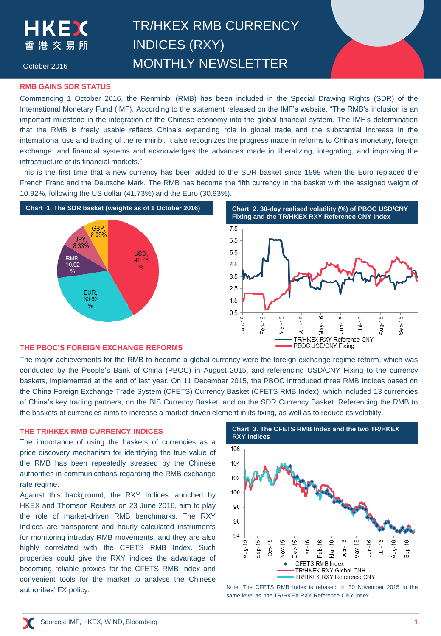TR/HKEX RMB CURRENCY INDICES (RXY) MONTHLY NEWSLETTER

October 2016

### **RMB GAINS SDR STATUS**

Commencing 1 October 2016, the Renminbi (RMB) has been included in the Special Drawing Rights (SDR) of the International Monetary Fund (IMF). According to the statement released on the IMF's website, "The RMB's inclusion is an important milestone in the integration of the Chinese economy into the global financial system. The IMF's determination that the RMB is freely usable reflects China's expanding role in global trade and the substantial increase in the international use and trading of the renminbi. It also recognizes the progress made in reforms to China's monetary, foreign exchange, and financial systems and acknowledges the advances made in liberalizing, integrating, and improving the infrastructure of its financial markets."

This is the first time that a new currency has been added to the SDR basket since 1999 when the Euro replaced the French Franc and the Deutsche Mark. The RMB has become the fifth currency in the basket with the assigned weight of 10.92%, following the US dollar (41.73%) and the Euro (30.93%).





### **THE PBOC'S FOREIGN EXCHANGE REFORMS**

The major achievements for the RMB to become a global currency were the foreign exchange regime reform, which was conducted by the People's Bank of China (PBOC) in August 2015, and referencing USD/CNY Fixing to the currency baskets, implemented at the end of last year. On 11 December 2015, the PBOC introduced three RMB Indices based on the China Foreign Exchange Trade System (CFETS) Currency Basket (CFETS RMB Index), which included 13 currencies of China's key trading partners, on the BIS Currency Basket, and on the SDR Currency Basket. Referencing the RMB to the baskets of currencies aims to increase a market-driven element in its fixing, as well as to reduce its volatility.

The importance of using the baskets of currencies as a price discovery mechanism for identifying the true value of the RMB has been repeatedly stressed by the Chinese authorities in communications regarding the RMB exchange rate regime.

Against this background, the RXY Indices launched by HKEX and Thomson Reuters on 23 June 2016, aim to play the role of market-driven RMB benchmarks. The RXY Indices are transparent and hourly calculated instruments for monitoring intraday RMB movements, and they are also highly correlated with the CFETS RMB Index. Such properties could give the RXY indices the advantage of becoming reliable proxies for the CFETS RMB Index and convenient tools for the market to analyse the Chinese authorities' FX policy.



Note: The CFETS RMB Index is rebased on 30 November 2015 to the same level as the TR/HKEX RXY Reference CNY Index